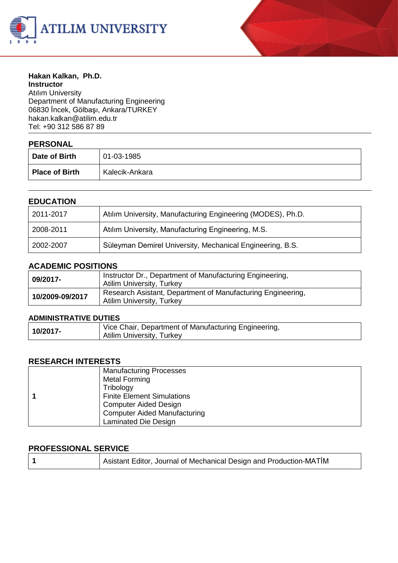



#### **Hakan Kalkan, Ph.D. Instructor** Atılım University Department of Manufacturing Engineering 06830 İncek, Gölbaşı, Ankara/TURKEY

hakan.kalka[n@atilim.edu.tr](mailto:ulug@bilkent.edu.tr) Tel: +90 312 586 87 89

# **PERSONAL**

| I LIVUUINL            |                |
|-----------------------|----------------|
| Date of Birth         | 01-03-1985     |
| <b>Place of Birth</b> | Kalecik-Ankara |

#### **EDUCATION**

| 2011-2017 | Atılım University, Manufacturing Engineering (MODES), Ph.D. |  |
|-----------|-------------------------------------------------------------|--|
| 2008-2011 | Atılım University, Manufacturing Engineering, M.S.          |  |
| 2002-2007 | Süleyman Demirel University, Mechanical Engineering, B.S.   |  |

#### **ACADEMIC POSITIONS**

| 09/2017-        | Instructor Dr., Department of Manufacturing Engineering,<br>Atilim University, Turkey           |
|-----------------|-------------------------------------------------------------------------------------------------|
| 10/2009-09/2017 | Research Asistant, Department of Manufacturing Engineering,<br><b>Atilim University, Turkey</b> |

#### **ADMINISTRATIVE DUTIES**

| 10/2017- | Vice Chair, Department of Manufacturing Engineering, |
|----------|------------------------------------------------------|
|          | <b>Atilim University, Turkey</b>                     |

#### **RESEARCH INTERESTS**

|  | <b>Manufacturing Processes</b>      |
|--|-------------------------------------|
|  | Metal Forming                       |
|  | Tribology                           |
|  | <b>Finite Element Simulations</b>   |
|  | <b>Computer Aided Design</b>        |
|  | <b>Computer Aided Manufacturing</b> |
|  | Laminated Die Design                |

#### **PROFESSIONAL SERVICE**

| Asistant Editor, Journal of Mechanical Design and Production-MATIM |  |
|--------------------------------------------------------------------|--|
|--------------------------------------------------------------------|--|